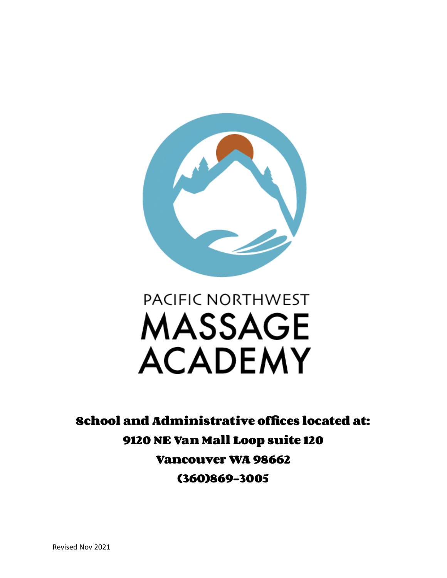

# PACIFIC NORTHWEST **MASSAGE ACADEMY**

**School and Administrative offices located at: 9120 NE Van Mall Loop suite 120 Vancouver WA 98662 (360)869-3005**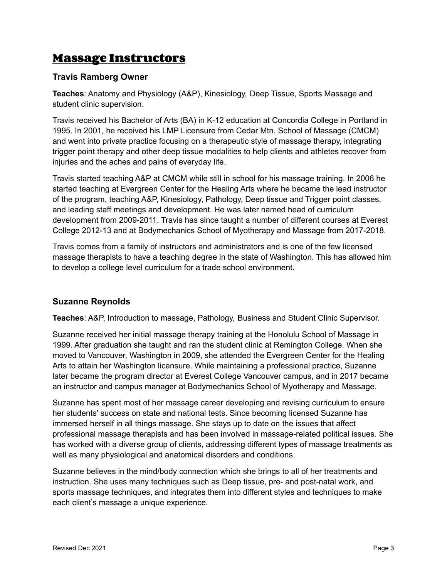#### **Massage Instructors**

#### **Travis Ramberg Owner**

**Teaches**: Anatomy and Physiology (A&P), Kinesiology, Deep Tissue, Sports Massage and student clinic supervision.

Travis received his Bachelor of Arts (BA) in K-12 education at Concordia College in Portland in 1995. In 2001, he received his LMP Licensure from Cedar Mtn. School of Massage (CMCM) and went into private practice focusing on a therapeutic style of massage therapy, integrating trigger point therapy and other deep tissue modalities to help clients and athletes recover from injuries and the aches and pains of everyday life.

Travis started teaching A&P at CMCM while still in school for his massage training. In 2006 he started teaching at Evergreen Center for the Healing Arts where he became the lead instructor of the program, teaching A&P, Kinesiology, Pathology, Deep tissue and Trigger point classes, and leading staff meetings and development. He was later named head of curriculum development from 2009-2011. Travis has since taught a number of different courses at Everest College 2012-13 and at Bodymechanics School of Myotherapy and Massage from 2017-2018.

Travis comes from a family of instructors and administrators and is one of the few licensed massage therapists to have a teaching degree in the state of Washington. This has allowed him to develop a college level curriculum for a trade school environment.

#### **Suzanne Reynolds**

**Teaches**: A&P, Introduction to massage, Pathology, Business and Student Clinic Supervisor.

Suzanne received her initial massage therapy training at the Honolulu School of Massage in 1999. After graduation she taught and ran the student clinic at Remington College. When she moved to Vancouver, Washington in 2009, she attended the Evergreen Center for the Healing Arts to attain her Washington licensure. While maintaining a professional practice, Suzanne later became the program director at Everest College Vancouver campus, and in 2017 became an instructor and campus manager at Bodymechanics School of Myotherapy and Massage.

Suzanne has spent most of her massage career developing and revising curriculum to ensure her students' success on state and national tests. Since becoming licensed Suzanne has immersed herself in all things massage. She stays up to date on the issues that affect professional massage therapists and has been involved in massage-related political issues. She has worked with a diverse group of clients, addressing different types of massage treatments as well as many physiological and anatomical disorders and conditions.

Suzanne believes in the mind/body connection which she brings to all of her treatments and instruction. She uses many techniques such as Deep tissue, pre- and post-natal work, and sports massage techniques, and integrates them into different styles and techniques to make each client's massage a unique experience.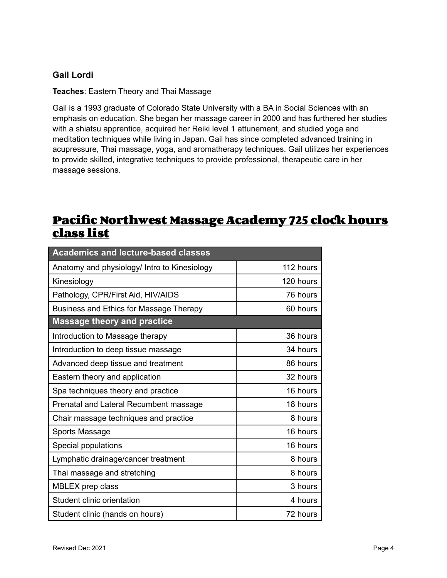#### **Gail Lordi**

**Teaches**: Eastern Theory and Thai Massage

Gail is a 1993 graduate of Colorado State University with a BA in Social Sciences with an emphasis on education. She began her massage career in 2000 and has furthered her studies with a shiatsu apprentice, acquired her Reiki level 1 attunement, and studied yoga and meditation techniques while living in Japan. Gail has since completed advanced training in acupressure, Thai massage, yoga, and aromatherapy techniques. Gail utilizes her experiences to provide skilled, integrative techniques to provide professional, therapeutic care in her massage sessions.

#### **Pacific Northwest Massage Academy 725 clockhours class list**

| <b>Academics and lecture-based classes</b>   |           |
|----------------------------------------------|-----------|
| Anatomy and physiology/ Intro to Kinesiology | 112 hours |
| Kinesiology                                  | 120 hours |
| Pathology, CPR/First Aid, HIV/AIDS           | 76 hours  |
| Business and Ethics for Massage Therapy      | 60 hours  |
| <b>Massage theory and practice</b>           |           |
| Introduction to Massage therapy              | 36 hours  |
| Introduction to deep tissue massage          | 34 hours  |
| Advanced deep tissue and treatment           | 86 hours  |
| Eastern theory and application               | 32 hours  |
| Spa techniques theory and practice           | 16 hours  |
| Prenatal and Lateral Recumbent massage       | 18 hours  |
| Chair massage techniques and practice        | 8 hours   |
| Sports Massage                               | 16 hours  |
| Special populations                          | 16 hours  |
| Lymphatic drainage/cancer treatment          | 8 hours   |
| Thai massage and stretching                  | 8 hours   |
| MBLEX prep class                             | 3 hours   |
| Student clinic orientation                   | 4 hours   |
| Student clinic (hands on hours)              | 72 hours  |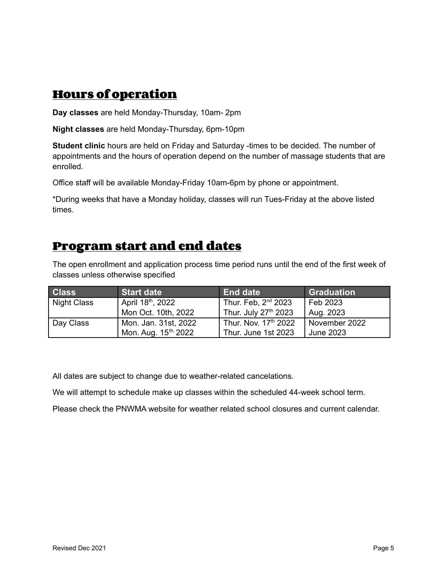#### **Hours of operation**

**Day classes** are held Monday-Thursday, 10am- 2pm

**Night classes** are held Monday-Thursday, 6pm-10pm

**Student clinic** hours are held on Friday and Saturday -times to be decided. The number of appointments and the hours of operation depend on the number of massage students that are enrolled.

Office staff will be available Monday-Friday 10am-6pm by phone or appointment.

\*During weeks that have a Monday holiday, classes will run Tues-Friday at the above listed times.

#### **Program start and end dates**

The open enrollment and application process time period runs until the end of the first week of classes unless otherwise specified

| <b>Class</b>       | <b>Start date</b>                | <b>End date</b>                 | <b>Graduation</b> |
|--------------------|----------------------------------|---------------------------------|-------------------|
| <b>Night Class</b> | April 18th, 2022                 | Thur. Feb, 2 <sup>nd</sup> 2023 | Feb 2023          |
|                    | Mon Oct. 10th, 2022              | Thur. July 27th 2023            | Aug. 2023         |
| Day Class          | Mon. Jan. 31st, 2022             | Thur. Nov. 17th 2022            | November 2022     |
|                    | Mon. Aug. 15 <sup>th,</sup> 2022 | Thur. June 1st 2023             | June 2023         |

All dates are subject to change due to weather-related cancelations.

We will attempt to schedule make up classes within the scheduled 44-week school term.

Please check the PNWMA website for weather related school closures and current calendar.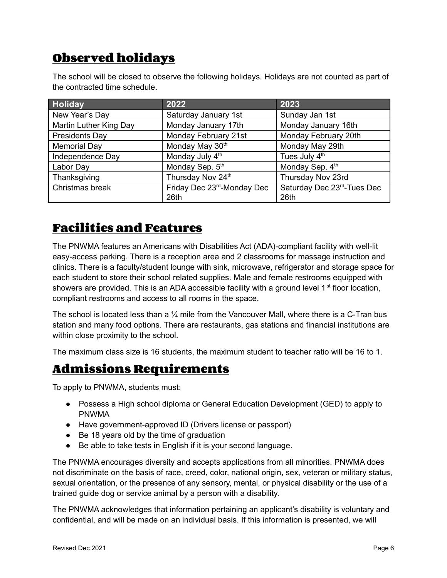# **Observed holidays**

The school will be closed to observe the following holidays. Holidays are not counted as part of the contracted time schedule.

| Holiday                | 2022                       | 2023                       |
|------------------------|----------------------------|----------------------------|
| New Year's Day         | Saturday January 1st       | Sunday Jan 1st             |
| Martin Luther King Day | Monday January 17th        | Monday January 16th        |
| Presidents Day         | Monday February 21st       | Monday February 20th       |
| <b>Memorial Day</b>    | Monday May 30th            | Monday May 29th            |
| Independence Day       | Monday July 4th            | Tues July 4th              |
| Labor Day              | Monday Sep. 5th            | Monday Sep. 4th            |
| Thanksgiving           | Thursday Nov 24th          | Thursday Nov 23rd          |
| Christmas break        | Friday Dec 23rd-Monday Dec | Saturday Dec 23rd-Tues Dec |
|                        | 26th                       | 26th                       |

#### **Facilities and Features**

The PNWMA features an Americans with Disabilities Act (ADA)-compliant facility with well-lit easy-access parking. There is a reception area and 2 classrooms for massage instruction and clinics. There is a faculty/student lounge with sink, microwave, refrigerator and storage space for each student to store their school related supplies. Male and female restrooms equipped with showers are provided. This is an ADA accessible facility with a ground level  $1<sup>st</sup>$  floor location, compliant restrooms and access to all rooms in the space.

The school is located less than a  $\frac{1}{4}$  mile from the Vancouver Mall, where there is a C-Tran bus station and many food options. There are restaurants, gas stations and financial institutions are within close proximity to the school.

The maximum class size is 16 students, the maximum student to teacher ratio will be 16 to 1.

#### **Admissions Requirements**

To apply to PNWMA, students must:

- Possess a High school diploma or General Education Development (GED) to apply to PNWMA
- Have government-approved ID (Drivers license or passport)
- Be 18 years old by the time of graduation
- Be able to take tests in English if it is your second language.

The PNWMA encourages diversity and accepts applications from all minorities. PNWMA does not discriminate on the basis of race, creed, color, national origin, sex, veteran or military status, sexual orientation, or the presence of any sensory, mental, or physical disability or the use of a trained guide dog or service animal by a person with a disability.

The PNWMA acknowledges that information pertaining an applicant's disability is voluntary and confidential, and will be made on an individual basis. If this information is presented, we will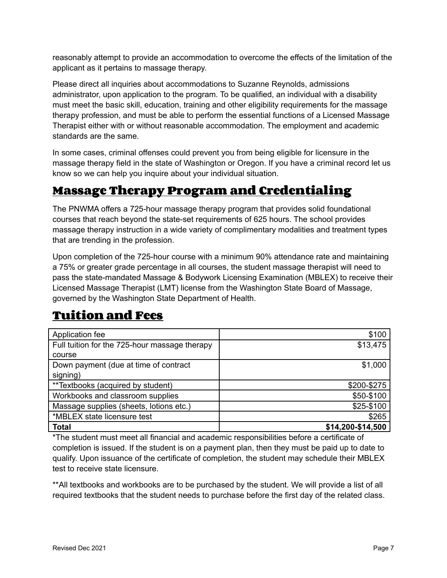reasonably attempt to provide an accommodation to overcome the effects of the limitation of the applicant as it pertains to massage therapy.

Please direct all inquiries about accommodations to Suzanne Reynolds, admissions administrator, upon application to the program. To be qualified, an individual with a disability must meet the basic skill, education, training and other eligibility requirements for the massage therapy profession, and must be able to perform the essential functions of a Licensed Massage Therapist either with or without reasonable accommodation. The employment and academic standards are the same.

In some cases, criminal offenses could prevent you from being eligible for licensure in the massage therapy field in the state of Washington or Oregon. If you have a criminal record let us know so we can help you inquire about your individual situation.

#### **Massage Therapy Program and Credentialing**

The PNWMA offers a 725-hour massage therapy program that provides solid foundational courses that reach beyond the state-set requirements of 625 hours. The school provides massage therapy instruction in a wide variety of complimentary modalities and treatment types that are trending in the profession.

Upon completion of the 725-hour course with a minimum 90% attendance rate and maintaining a 75% or greater grade percentage in all courses, the student massage therapist will need to pass the state-mandated Massage & Bodywork Licensing Examination (MBLEX) to receive their Licensed Massage Therapist (LMT) license from the Washington State Board of Massage, governed by the Washington State Department of Health.

## **Tuition and Fees**

| Application fee                               | \$100             |
|-----------------------------------------------|-------------------|
| Full tuition for the 725-hour massage therapy | \$13,475          |
| course                                        |                   |
| Down payment (due at time of contract         | \$1,000           |
| signing)                                      |                   |
| **Textbooks (acquired by student)             | \$200-\$275       |
| Workbooks and classroom supplies              | \$50-\$100        |
| Massage supplies (sheets, lotions etc.)       | \$25-\$100        |
| *MBLEX state licensure test                   | \$265             |
| <b>Total</b>                                  | \$14,200-\$14,500 |

\*The student must meet all financial and academic responsibilities before a certificate of completion is issued. If the student is on a payment plan, then they must be paid up to date to qualify. Upon issuance of the certificate of completion, the student may schedule their MBLEX test to receive state licensure.

\*\*All textbooks and workbooks are to be purchased by the student. We will provide a list of all required textbooks that the student needs to purchase before the first day of the related class.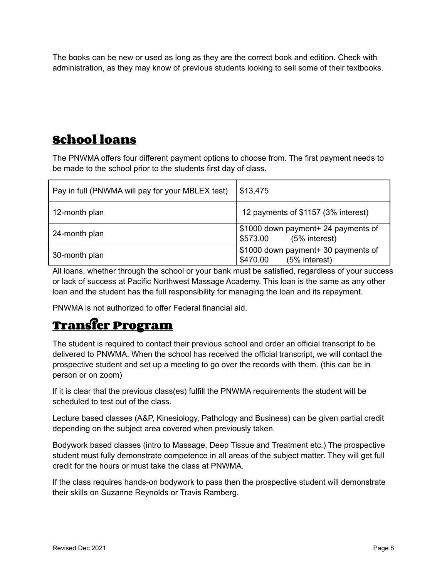The books can be new or used as long as they are the correct book and edition. Check with administration, as they may know of previous students looking to sell some of their textbooks.

### **School loans**

The PNWMA offers four different payment options to choose from. The first payment needs to be made to the school prior to the students first day of class.

| Pay in full (PNWMA will pay for your MBLEX test) | \$13,475                                                         |
|--------------------------------------------------|------------------------------------------------------------------|
| 12-month plan                                    | 12 payments of \$1157 (3% interest)                              |
| 24-month plan                                    | \$1000 down payment+ 24 payments of<br>(5% interest)<br>\$573.00 |
| 30-month plan                                    | \$1000 down payment+ 30 payments of<br>(5% interest)<br>\$470.00 |

All loans, whether through the school or your bank must be satisfied, regardless of your success or lack of success at Pacific Northwest Massage Academy. This loan is the same as any other loan and the student has the full responsibility for managing the loan and its repayment.

PNWMA is not authorized to offer Federal financial aid.

## **Transfer Program**

The student is required to contact their previous school and order an official transcript to be delivered to PNWMA. When the school has received the official transcript, we will contact the prospective student and set up a meeting to go over the records with them. (this can be in person or on zoom)

If it is clear that the previous class(es) fulfill the PNWMA requirements the student will be scheduled to test out of the class.

Lecture based classes (A&P, Kinesiology, Pathology and Business) can be given partial credit depending on the subject area covered when previously taken.

Bodywork based classes (intro to Massage, Deep Tissue and Treatment etc.) The prospective student must fully demonstrate competence in all areas of the subject matter. They will get full credit for the hours or must take the class at PNWMA.

If the class requires hands-on bodywork to pass then the prospective student will demonstrate their skills on Suzanne Reynolds or Travis Ramberg.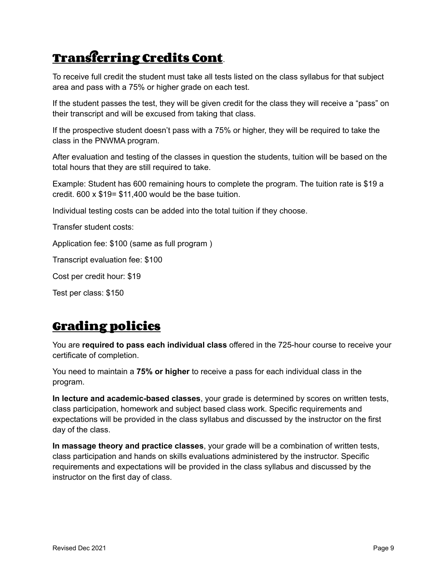# **Transferring Credits Cont**.

To receive full credit the student must take all tests listed on the class syllabus for that subject area and pass with a 75% or higher grade on each test.

If the student passes the test, they will be given credit for the class they will receive a "pass" on their transcript and will be excused from taking that class.

If the prospective student doesn't pass with a 75% or higher, they will be required to take the class in the PNWMA program.

After evaluation and testing of the classes in question the students, tuition will be based on the total hours that they are still required to take.

Example: Student has 600 remaining hours to complete the program. The tuition rate is \$19 a credit. 600 x \$19= \$11,400 would be the base tuition.

Individual testing costs can be added into the total tuition if they choose.

Transfer student costs:

Application fee: \$100 (same as full program )

Transcript evaluation fee: \$100

Cost per credit hour: \$19

Test per class: \$150

## **Grading policies**

You are **required to pass each individual class** offered in the 725-hour course to receive your certificate of completion.

You need to maintain a **75% or higher** to receive a pass for each individual class in the program.

**In lecture and academic-based classes**, your grade is determined by scores on written tests, class participation, homework and subject based class work. Specific requirements and expectations will be provided in the class syllabus and discussed by the instructor on the first day of the class.

**In massage theory and practice classes**, your grade will be a combination of written tests, class participation and hands on skills evaluations administered by the instructor. Specific requirements and expectations will be provided in the class syllabus and discussed by the instructor on the first day of class.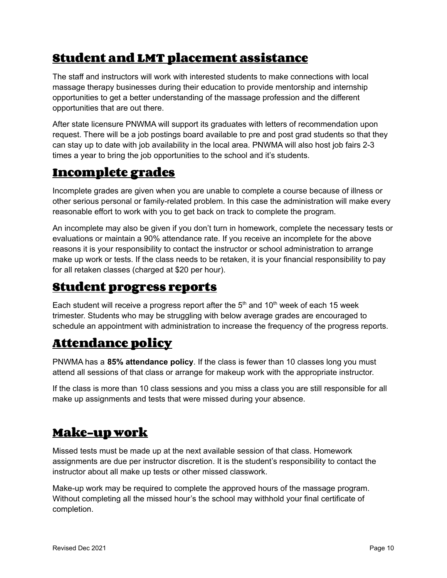## **Student and LMT placement assistance**

The staff and instructors will work with interested students to make connections with local massage therapy businesses during their education to provide mentorship and internship opportunities to get a better understanding of the massage profession and the different opportunities that are out there.

After state licensure PNWMA will support its graduates with letters of recommendation upon request. There will be a job postings board available to pre and post grad students so that they can stay up to date with job availability in the local area. PNWMA will also host job fairs 2-3 times a year to bring the job opportunities to the school and it's students.

#### **Incomplete grades**

Incomplete grades are given when you are unable to complete a course because of illness or other serious personal or family-related problem. In this case the administration will make every reasonable effort to work with you to get back on track to complete the program.

An incomplete may also be given if you don't turn in homework, complete the necessary tests or evaluations or maintain a 90% attendance rate. If you receive an incomplete for the above reasons it is your responsibility to contact the instructor or school administration to arrange make up work or tests. If the class needs to be retaken, it is your financial responsibility to pay for all retaken classes (charged at \$20 per hour).

#### **Student progress reports**

Each student will receive a progress report after the  $5<sup>th</sup>$  and  $10<sup>th</sup>$  week of each 15 week trimester. Students who may be struggling with below average grades are encouraged to schedule an appointment with administration to increase the frequency of the progress reports.

#### **Attendance policy**

PNWMA has a **85% attendance policy**. If the class is fewer than 10 classes long you must attend all sessions of that class or arrange for makeup work with the appropriate instructor.

If the class is more than 10 class sessions and you miss a class you are still responsible for all make up assignments and tests that were missed during your absence.

#### **Make-up work**

Missed tests must be made up at the next available session of that class. Homework assignments are due per instructor discretion. It is the student's responsibility to contact the instructor about all make up tests or other missed classwork.

Make-up work may be required to complete the approved hours of the massage program. Without completing all the missed hour's the school may withhold your final certificate of completion.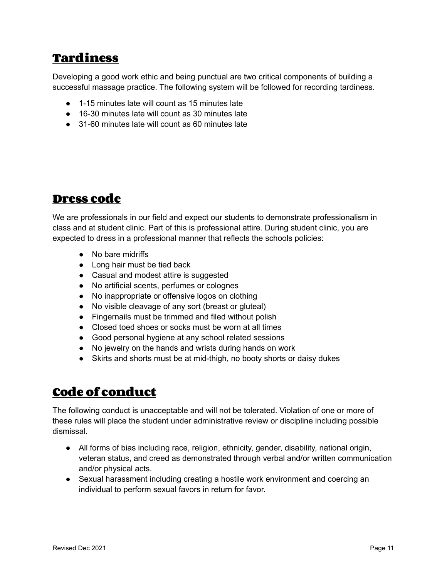## **Tardiness**

Developing a good work ethic and being punctual are two critical components of building a successful massage practice. The following system will be followed for recording tardiness.

- 1-15 minutes late will count as 15 minutes late
- 16-30 minutes late will count as 30 minutes late
- 31-60 minutes late will count as 60 minutes late

#### **Dress code**

We are professionals in our field and expect our students to demonstrate professionalism in class and at student clinic. Part of this is professional attire. During student clinic, you are expected to dress in a professional manner that reflects the schools policies:

- No bare midriffs
- Long hair must be tied back
- Casual and modest attire is suggested
- No artificial scents, perfumes or colognes
- No inappropriate or offensive logos on clothing
- No visible cleavage of any sort (breast or gluteal)
- Fingernails must be trimmed and filed without polish
- Closed toed shoes or socks must be worn at all times
- Good personal hygiene at any school related sessions
- No jewelry on the hands and wrists during hands on work
- Skirts and shorts must be at mid-thigh, no booty shorts or daisy dukes

#### **Code of conduct**

The following conduct is unacceptable and will not be tolerated. Violation of one or more of these rules will place the student under administrative review or discipline including possible dismissal.

- All forms of bias including race, religion, ethnicity, gender, disability, national origin, veteran status, and creed as demonstrated through verbal and/or written communication and/or physical acts.
- Sexual harassment including creating a hostile work environment and coercing an individual to perform sexual favors in return for favor.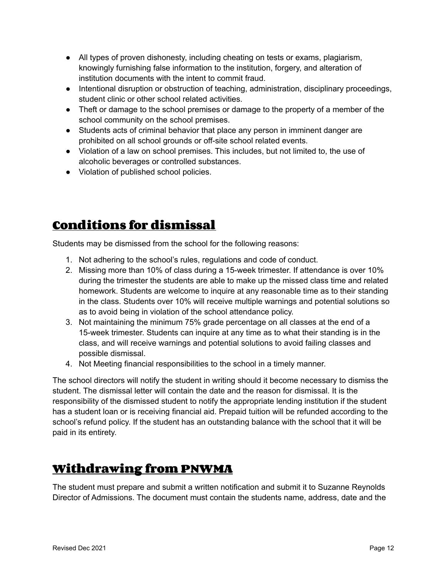- All types of proven dishonesty, including cheating on tests or exams, plagiarism, knowingly furnishing false information to the institution, forgery, and alteration of institution documents with the intent to commit fraud.
- Intentional disruption or obstruction of teaching, administration, disciplinary proceedings, student clinic or other school related activities.
- Theft or damage to the school premises or damage to the property of a member of the school community on the school premises.
- Students acts of criminal behavior that place any person in imminent danger are prohibited on all school grounds or off-site school related events.
- Violation of a law on school premises. This includes, but not limited to, the use of alcoholic beverages or controlled substances.
- Violation of published school policies.

## **Conditions for dismissal**

Students may be dismissed from the school for the following reasons:

- 1. Not adhering to the school's rules, regulations and code of conduct.
- 2. Missing more than 10% of class during a 15-week trimester. If attendance is over 10% during the trimester the students are able to make up the missed class time and related homework. Students are welcome to inquire at any reasonable time as to their standing in the class. Students over 10% will receive multiple warnings and potential solutions so as to avoid being in violation of the school attendance policy.
- 3. Not maintaining the minimum 75% grade percentage on all classes at the end of a 15-week trimester. Students can inquire at any time as to what their standing is in the class, and will receive warnings and potential solutions to avoid failing classes and possible dismissal.
- 4. Not Meeting financial responsibilities to the school in a timely manner.

The school directors will notify the student in writing should it become necessary to dismiss the student. The dismissal letter will contain the date and the reason for dismissal. It is the responsibility of the dismissed student to notify the appropriate lending institution if the student has a student loan or is receiving financial aid. Prepaid tuition will be refunded according to the school's refund policy. If the student has an outstanding balance with the school that it will be paid in its entirety.

## **Withdrawing from PNWMA**

The student must prepare and submit a written notification and submit it to Suzanne Reynolds Director of Admissions. The document must contain the students name, address, date and the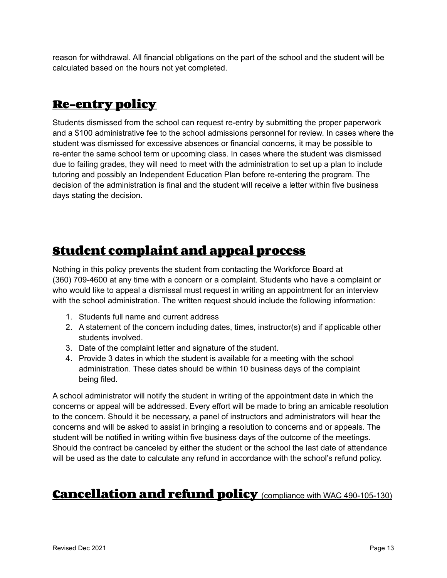reason for withdrawal. All financial obligations on the part of the school and the student will be calculated based on the hours not yet completed.

## **Re-entry policy**

Students dismissed from the school can request re-entry by submitting the proper paperwork and a \$100 administrative fee to the school admissions personnel for review. In cases where the student was dismissed for excessive absences or financial concerns, it may be possible to re-enter the same school term or upcoming class. In cases where the student was dismissed due to failing grades, they will need to meet with the administration to set up a plan to include tutoring and possibly an Independent Education Plan before re-entering the program. The decision of the administration is final and the student will receive a letter within five business days stating the decision.

## **Student complaint and appeal process**

Nothing in this policy prevents the student from contacting the Workforce Board at (360) 709-4600 at any time with a concern or a complaint. Students who have a complaint or who would like to appeal a dismissal must request in writing an appointment for an interview with the school administration. The written request should include the following information:

- 1. Students full name and current address
- 2. A statement of the concern including dates, times, instructor(s) and if applicable other students involved.
- 3. Date of the complaint letter and signature of the student.
- 4. Provide 3 dates in which the student is available for a meeting with the school administration. These dates should be within 10 business days of the complaint being filed.

A school administrator will notify the student in writing of the appointment date in which the concerns or appeal will be addressed. Every effort will be made to bring an amicable resolution to the concern. Should it be necessary, a panel of instructors and administrators will hear the concerns and will be asked to assist in bringing a resolution to concerns and or appeals. The student will be notified in writing within five business days of the outcome of the meetings. Should the contract be canceled by either the student or the school the last date of attendance will be used as the date to calculate any refund in accordance with the school's refund policy.

#### **Cancellation and refund policy** (compliance with WAC 490-105-130)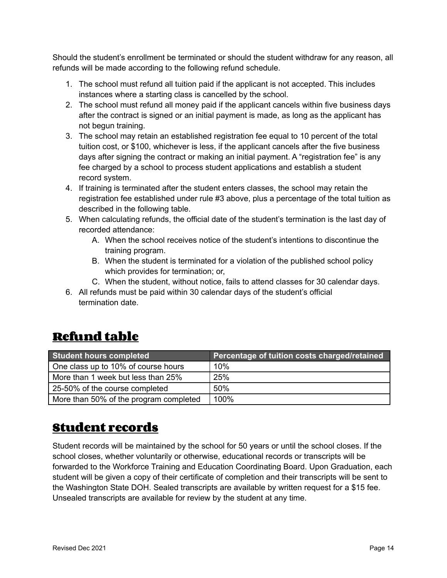Should the student's enrollment be terminated or should the student withdraw for any reason, all refunds will be made according to the following refund schedule.

- 1. The school must refund all tuition paid if the applicant is not accepted. This includes instances where a starting class is cancelled by the school.
- 2. The school must refund all money paid if the applicant cancels within five business days after the contract is signed or an initial payment is made, as long as the applicant has not begun training.
- 3. The school may retain an established registration fee equal to 10 percent of the total tuition cost, or \$100, whichever is less, if the applicant cancels after the five business days after signing the contract or making an initial payment. A "registration fee" is any fee charged by a school to process student applications and establish a student record system.
- 4. If training is terminated after the student enters classes, the school may retain the registration fee established under rule #3 above, plus a percentage of the total tuition as described in the following table.
- 5. When calculating refunds, the official date of the student's termination is the last day of recorded attendance:
	- A. When the school receives notice of the student's intentions to discontinue the training program.
	- B. When the student is terminated for a violation of the published school policy which provides for termination; or,
	- C. When the student, without notice, fails to attend classes for 30 calendar days.
- 6. All refunds must be paid within 30 calendar days of the student's official termination date.

## **Refund table**

| Student hours completed                | Percentage of tuition costs charged/retained |
|----------------------------------------|----------------------------------------------|
| One class up to 10% of course hours    | 10%                                          |
| More than 1 week but less than 25%     | 25%                                          |
| 25-50% of the course completed         | 50%                                          |
| More than 50% of the program completed | 100%                                         |

#### **Student records**

Student records will be maintained by the school for 50 years or until the school closes. If the school closes, whether voluntarily or otherwise, educational records or transcripts will be forwarded to the Workforce Training and Education Coordinating Board. Upon Graduation, each student will be given a copy of their certificate of completion and their transcripts will be sent to the Washington State DOH. Sealed transcripts are available by written request for a \$15 fee. Unsealed transcripts are available for review by the student at any time.